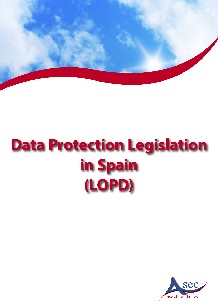

# **Data Protection Legislation in Spain (LOPD)**

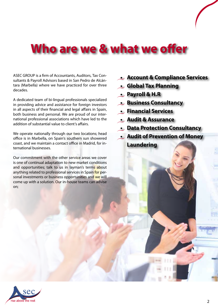#### **Who are we & what we offer**

ASEC GROUP is a firm of Accountants, Auditors, Tax Consultants & Payroll Advisors based in San Pedro de Alcántara (Marbella) where we have practiced for over three decades.

A dedicated team of bi-lingual professionals specialized in providing advice and assistance for foreign investors in all aspects of their financial and legal affairs in Spain, both business and personal. We are proud of our international professional associations which have led to the addition of substantial value to client's affairs.

We operate nationally through our two locations; head office is in Marbella, on Spain's southern sun showered coast, and we maintain a contact office in Madrid, for international businesses.

Our commitment with the other service areas we cover is one of continual adaptation to new market conditions and opportunities; talk to us in layman's terms about anything related to professional services in Spain for personal investments or business opportunities and we will come up with a solution. Our in-house teams can advise on;

- **• Account & Compliance Services**
- **• Global Tax Planning**
- **• Payroll & H.R**
- **• Business Consultancy**
- **• Financial Services**
- **• Audit & Assurance**
- **• Data Protection Consultancy**
- **• Audit of Prevention of Money Laundering**

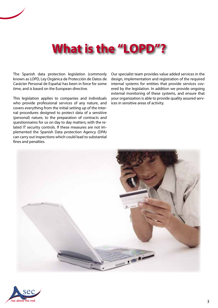## **What is the "LOPD"?**

The Spanish data protection legislation (commonly known as LOPD, Ley Orgánica de Protección de Datos de Carácter Personal de España) has been in force for some time, and is based on the European directive.

This legislation applies to companies and individuals who provide professional services of any nature, and covers everything from the initial setting up of the internal procedures designed to protect data of a sensitive (personal) nature, to the preparation of contracts and questionnaires for us on day to day matters; with the related IT security controls. If these measures are not implemented the Spanish Data protection Agency (DPA) can carry out inspections which could lead to substantial fines and penalties.

Our specialist team provides value added services in the design, implementation and registration of the required internal systems for entities that provide services covered by the legislation. In addition we provide ongoing external monitoring of these systems, and ensure that your organization is able to provide quality assured services in sensitive areas of activity.



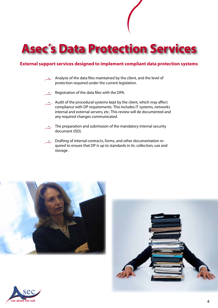

#### **External support services designed to implement compliant data protection systems**

- Analysis of the data files maintained by the client, and the level of protection required under the current legislation.
- Registration of the data files with the DPA.
- $\cdot$  Audit of the procedural systems kept by the client, which may affect compliance with DP requirements. This includes IT systems, networks internal and external servers, etc. This review will de documented and any required changes communicated.
- The preparation and submission of the mandatory internal security document (ISD).
- Drafting of internal contracts, forms, and other documentation required to ensure that DP is up to standards in its: collection, use and storage .





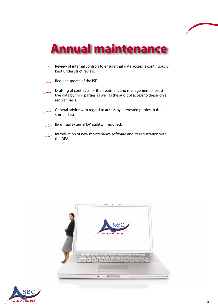## **Annual maintenance**

- $\cdot$  Review of internal controls to ensure that data access is continuously kept under strict review.
- $\cdot$  Regular update of the ISD.
- Drafting of contracts for the treatment and management of sensitive data by third parties as well as the audit of access to these, on a regular basis.
- $\cdot$  General advice with regard to access by interested parties to the stored data.
- Bi-annual external DP audits, if required.
- Introduction of new maintenance software and its registration with the DPA.